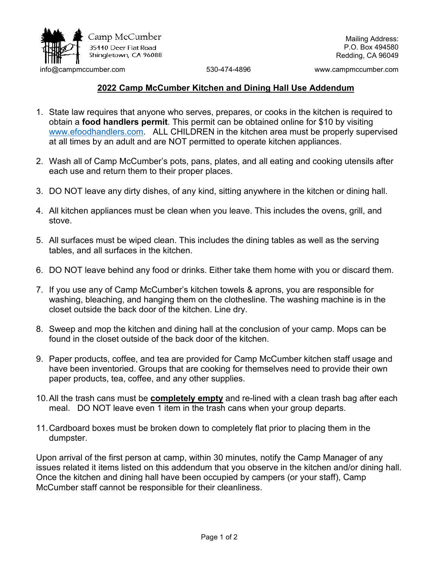

Mailing Address: P.O. Box 494580 Redding, CA 96049

[info@campmccumber.com](mailto:info@campmccumber.com) 530-474-4896 www.campmccumber.com

## **2022 Camp McCumber Kitchen and Dining Hall Use Addendum**

- 1. State law requires that anyone who serves, prepares, or cooks in the kitchen is required to obtain a **food handlers permit**. This permit can be obtained online for \$10 by visiting [www.efoodhandlers.com.](http://www.efoodhandlers.com/) ALL CHILDREN in the kitchen area must be properly supervised at all times by an adult and are NOT permitted to operate kitchen appliances.
- 2. Wash all of Camp McCumber's pots, pans, plates, and all eating and cooking utensils after each use and return them to their proper places.
- 3. DO NOT leave any dirty dishes, of any kind, sitting anywhere in the kitchen or dining hall.
- 4. All kitchen appliances must be clean when you leave. This includes the ovens, grill, and stove.
- 5. All surfaces must be wiped clean. This includes the dining tables as well as the serving tables, and all surfaces in the kitchen.
- 6. DO NOT leave behind any food or drinks. Either take them home with you or discard them.
- 7. If you use any of Camp McCumber's kitchen towels & aprons, you are responsible for washing, bleaching, and hanging them on the clothesline. The washing machine is in the closet outside the back door of the kitchen. Line dry.
- 8. Sweep and mop the kitchen and dining hall at the conclusion of your camp. Mops can be found in the closet outside of the back door of the kitchen.
- 9. Paper products, coffee, and tea are provided for Camp McCumber kitchen staff usage and have been inventoried. Groups that are cooking for themselves need to provide their own paper products, tea, coffee, and any other supplies.
- 10.All the trash cans must be **completely empty** and re-lined with a clean trash bag after each meal. DO NOT leave even 1 item in the trash cans when your group departs.
- 11.Cardboard boxes must be broken down to completely flat prior to placing them in the dumpster.

Upon arrival of the first person at camp, within 30 minutes, notify the Camp Manager of any issues related it items listed on this addendum that you observe in the kitchen and/or dining hall. Once the kitchen and dining hall have been occupied by campers (or your staff), Camp McCumber staff cannot be responsible for their cleanliness.